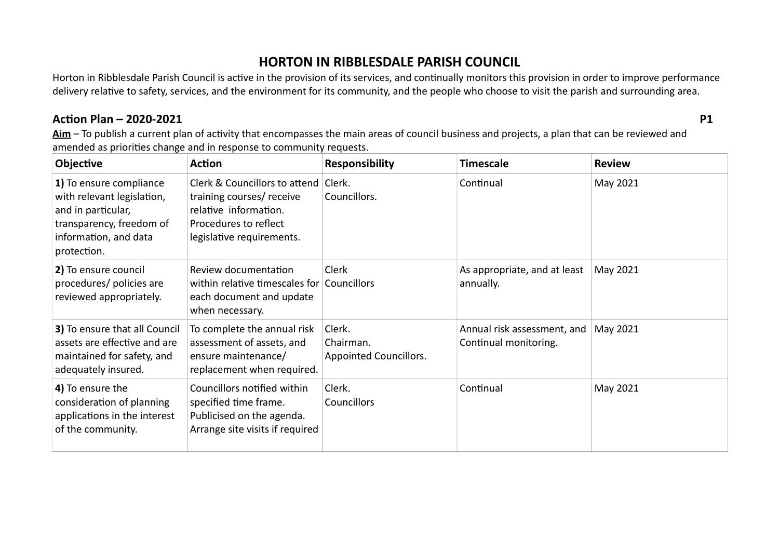## **HORTON IN RIBBLESDALE PARISH COUNCIL**

Horton in Ribblesdale Parish Council is active in the provision of its services, and continually monitors this provision in order to improve performance delivery relative to safety, services, and the environment for its community, and the people who choose to visit the parish and surrounding area.

## Action Plan - 2020-2021

**P1** 

Aim - To publish a current plan of activity that encompasses the main areas of council business and projects, a plan that can be reviewed and amended as priorities change and in response to community requests.

| Objective                                                                                                                                       | <b>Action</b>                                                                                                                                    | <b>Responsibility</b>                         | <b>Timescale</b>                                     | <b>Review</b> |
|-------------------------------------------------------------------------------------------------------------------------------------------------|--------------------------------------------------------------------------------------------------------------------------------------------------|-----------------------------------------------|------------------------------------------------------|---------------|
| 1) To ensure compliance<br>with relevant legislation,<br>and in particular,<br>transparency, freedom of<br>information, and data<br>protection. | Clerk & Councillors to attend Clerk.<br>training courses/ receive<br>relative information.<br>Procedures to reflect<br>legislative requirements. | Councillors.                                  | Continual                                            | May 2021      |
| 2) To ensure council<br>procedures/ policies are<br>reviewed appropriately.                                                                     | Review documentation<br>within relative timescales for Councillors<br>each document and update<br>when necessary.                                | Clerk                                         | As appropriate, and at least<br>annually.            | May 2021      |
| 3) To ensure that all Council<br>assets are effective and are<br>maintained for safety, and<br>adequately insured.                              | To complete the annual risk<br>assessment of assets, and<br>ensure maintenance/<br>replacement when required.                                    | Clerk.<br>Chairman.<br>Appointed Councillors. | Annual risk assessment, and<br>Continual monitoring. | May 2021      |
| 4) To ensure the<br>consideration of planning<br>applications in the interest<br>of the community.                                              | Councillors notified within<br>specified time frame.<br>Publicised on the agenda.<br>Arrange site visits if required                             | Clerk.<br><b>Councillors</b>                  | Continual                                            | May 2021      |